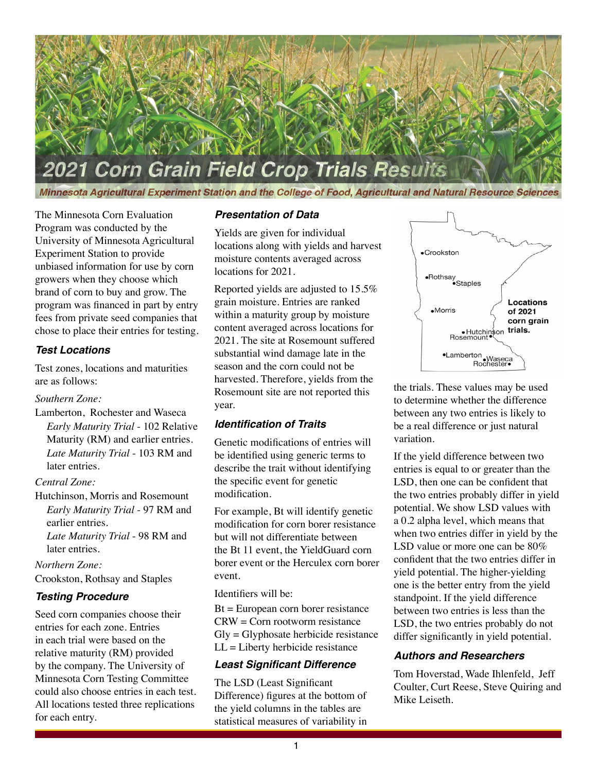

The Minnesota Corn Evaluation Program was conducted by the University of Minnesota Agricultural Experiment Station to provide unbiased information for use by corn growers when they choose which brand of corn to buy and grow. The program was financed in part by entry fees from private seed companies that chose to place their entries for testing.

#### *Test Locations*

Test zones, locations and maturities are as follows:

#### *Southern Zone:*

Lamberton, Rochester and Waseca *Early Maturity Trial* - 102 Relative Maturity (RM) and earlier entries. *Late Maturity Trial* - 103 RM and later entries.

#### *Central Zone:*

Hutchinson, Morris and Rosemount *Early Maturity Trial* - 97 RM and earlier entries. *Late Maturity Trial* - 98 RM and

later entries.

*Northern Zone:* 

Crookston, Rothsay and Staples

#### *Testing Procedure*

Seed corn companies choose their entries for each zone. Entries in each trial were based on the relative maturity (RM) provided by the company. The University of Minnesota Corn Testing Committee could also choose entries in each test. All locations tested three replications for each entry.

#### *Presentation of Data*

Yields are given for individual locations along with yields and harvest moisture contents averaged across locations for 2021.

Reported yields are adjusted to 15.5% grain moisture. Entries are ranked within a maturity group by moisture content averaged across locations for 2021. The site at Rosemount suffered substantial wind damage late in the season and the corn could not be harvested. Therefore, yields from the Rosemount site are not reported this year.

#### **Identification of Traits**

Genetic modifications of entries will be identified using generic terms to describe the trait without identifying the specific event for genetic modification.

For example, Bt will identify genetic modification for corn borer resistance but will not differentiate between the Bt 11 event, the YieldGuard corn borer event or the Herculex corn borer event.

Identifiers will be:

 $Bt = European corn border resistance$ CRW = Corn rootworm resistance  $G<sub>l</sub>y = G<sub>l</sub>y<sub>p</sub>$  hosate herbicide resistance  $LL =$  Liberty herbicide resistance

#### **Least Significant Difference**

The LSD (Least Significant Difference) figures at the bottom of the yield columns in the tables are statistical measures of variability in



the trials. These values may be used to determine whether the difference between any two entries is likely to be a real difference or just natural variation.

If the yield difference between two entries is equal to or greater than the LSD, then one can be confident that the two entries probably differ in yield potential. We show LSD values with a 0.2 alpha level, which means that when two entries differ in yield by the LSD value or more one can be  $80\%$ confident that the two entries differ in yield potential. The higher-yielding one is the better entry from the yield standpoint. If the yield difference between two entries is less than the LSD, the two entries probably do not differ significantly in yield potential.

#### *Authors and Researchers*

Tom Hoverstad, Wade Ihlenfeld, Jeff Coulter, Curt Reese, Steve Quiring and Mike Leiseth.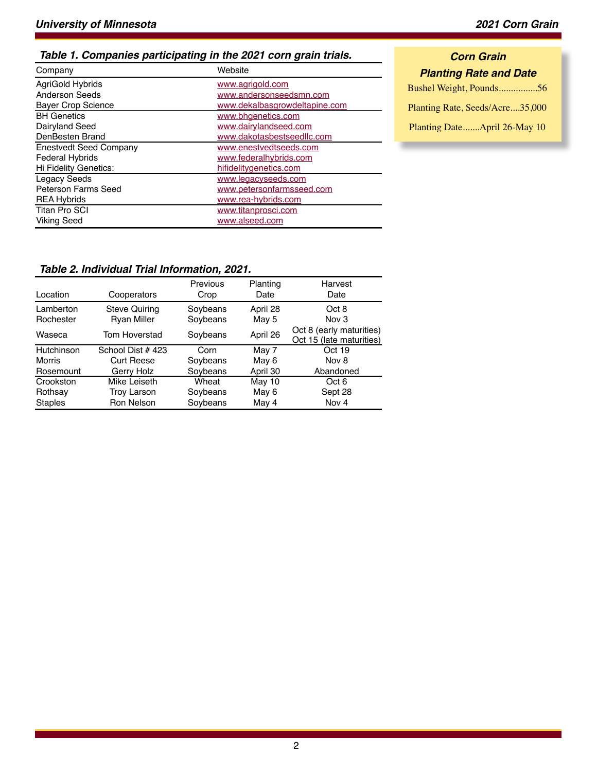## *Table 1. Companies participating in the 2021 corn grain trials.*

| Company                       | Website                       |
|-------------------------------|-------------------------------|
| AgriGold Hybrids              | www.agrigold.com              |
| <b>Anderson Seeds</b>         | www.andersonseedsmn.com       |
| <b>Bayer Crop Science</b>     | www.dekalbasgrowdeltapine.com |
| <b>BH</b> Genetics            | www.bhgenetics.com            |
| Dairyland Seed                | www.dairylandseed.com         |
| DenBesten Brand               | www.dakotasbestseedllc.com    |
| <b>Enestvedt Seed Company</b> | www.enestvedtseeds.com        |
| <b>Federal Hybrids</b>        | www.federalhybrids.com        |
| Hi Fidelity Genetics:         | hifidelitygenetics.com        |
| <b>Legacy Seeds</b>           | www.legacyseeds.com           |
| <b>Peterson Farms Seed</b>    | www.petersonfarmsseed.com     |
| <b>REA Hybrids</b>            | www.rea-hybrids.com           |
| <b>Titan Pro SCI</b>          | www.titanprosci.com           |
| Viking Seed                   | www.alseed.com                |

## *Table 2. Individual Trial Information, 2021.*

| Location       | Cooperators          | Previous<br>Crop | Planting<br>Date | Harvest<br>Date                                      |
|----------------|----------------------|------------------|------------------|------------------------------------------------------|
| Lamberton      | <b>Steve Quiring</b> | Soybeans         | April 28         | Oct 8                                                |
| Rochester      | <b>Ryan Miller</b>   | Soybeans         | May 5            | Nov <sub>3</sub>                                     |
| Waseca         | Tom Hoverstad        | Soybeans         | April 26         | Oct 8 (early maturities)<br>Oct 15 (late maturities) |
| Hutchinson     | School Dist #423     | Corn             | May 7            | Oct 19                                               |
| Morris         | <b>Curt Reese</b>    | Soybeans         | May 6            | Nov 8                                                |
| Rosemount      | Gerry Holz           | Soybeans         | April 30         | Abandoned                                            |
| Crookston      | Mike Leiseth         | Wheat            | May 10           | Oct 6                                                |
| Rothsay        | <b>Troy Larson</b>   | Soybeans         | May 6            | Sept 28                                              |
| <b>Staples</b> | <b>Ron Nelson</b>    | Soybeans         | May 4            | Nov <sub>4</sub>                                     |

# *Corn Grain Planting Rate and Date*

Bushel Weight, Pounds................56 Planting Rate, Seeds/Acre....35,000 Planting Date.......April 26-May 10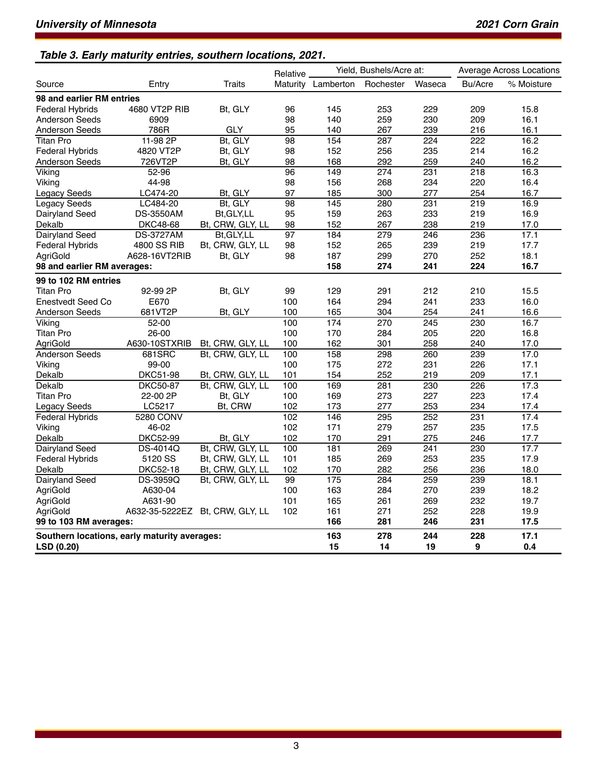# *Table 3. Early maturity entries, southern locations, 2021.*

|                                              |                  |                                 | Relative.       | Yield, Bushels/Acre at: |           | <b>Average Across Locations</b> |                  |            |
|----------------------------------------------|------------------|---------------------------------|-----------------|-------------------------|-----------|---------------------------------|------------------|------------|
| Source                                       | Entry            | <b>Traits</b>                   |                 | Maturity Lamberton      | Rochester | Waseca                          | Bu/Acre          | % Moisture |
| 98 and earlier RM entries                    |                  |                                 |                 |                         |           |                                 |                  |            |
| Federal Hybrids                              | 4680 VT2P RIB    | Bt, GLY                         | 96              | 145                     | 253       | 229                             | 209              | 15.8       |
| Anderson Seeds                               | 6909             |                                 | 98              | 140                     | 259       | 230                             | 209              | 16.1       |
| Anderson Seeds                               | 786R             | <b>GLY</b>                      | 95              | 140                     | 267       | 239                             | 216              | 16.1       |
| Titan Pro                                    | 11-98 2P         | Bt, GLY                         | $\overline{98}$ | $\overline{154}$        | 287       | $\overline{224}$                | $\overline{222}$ | 16.2       |
| <b>Federal Hybrids</b>                       | 4820 VT2P        | Bt, GLY                         | 98              | 152                     | 256       | 235                             | 214              | 16.2       |
| <b>Anderson Seeds</b>                        | 726VT2P          | Bt, GLY                         | 98              | 168                     | 292       | 259                             | 240              | 16.2       |
| Viking                                       | 52-96            |                                 | 96              | 149                     | 274       | 231                             | 218              | 16.3       |
| Viking                                       | 44-98            |                                 | 98              | 156                     | 268       | 234                             | 220              | 16.4       |
| Legacy Seeds                                 | LC474-20         | Bt. GLY                         | 97              | 185                     | 300       | 277                             | 254              | 16.7       |
| Legacy Seeds                                 | LC484-20         | Bt, GLY                         | 98              | 145                     | 280       | 231                             | 219              | 16.9       |
| Dairyland Seed                               | <b>DS-3550AM</b> | Bt, GLY, LL                     | 95              | 159                     | 263       | 233                             | 219              | 16.9       |
| Dekalb                                       | <b>DKC48-68</b>  | Bt, CRW, GLY, LL                | 98              | 152                     | 267       | 238                             | 219              | 17.0       |
| Dairyland Seed                               | <b>DS-3727AM</b> | Bt, GLY, LL                     | 97              | 184                     | 279       | 246                             | 236              | 17.1       |
| <b>Federal Hybrids</b>                       | 4800 SS RIB      | Bt, CRW, GLY, LL                | 98              | 152                     | 265       | 239                             | 219              | 17.7       |
| AgriGold                                     | A628-16VT2RIB    | Bt, GLY                         | 98              | 187                     | 299       | 270                             | 252              | 18.1       |
| 98 and earlier RM averages:                  |                  |                                 |                 | 158                     | 274       | 241                             | 224              | 16.7       |
| 99 to 102 RM entries                         |                  |                                 |                 |                         |           |                                 |                  |            |
| <b>Titan Pro</b>                             | 92-99 2P         | Bt, GLY                         | 99              | 129                     | 291       | 212                             | 210              | 15.5       |
| <b>Enestvedt Seed Co</b>                     | E670             |                                 | 100             | 164                     | 294       | 241                             | 233              | 16.0       |
| <b>Anderson Seeds</b>                        | 681VT2P          | Bt, GLY                         | 100             | 165                     | 304       | 254                             | 241              | 16.6       |
| Viking                                       | $52 - 00$        |                                 | 100             | $\overline{174}$        | 270       | 245                             | 230              | 16.7       |
| <b>Titan Pro</b>                             | 26-00            |                                 | 100             | 170                     | 284       | 205                             | 220              | 16.8       |
| <b>AgriGold</b>                              | A630-10STXRIB    | Bt. CRW, GLY, LL                | 100             | 162                     | 301       | 258                             | 240              | 17.0       |
| <b>Anderson Seeds</b>                        | 681SRC           | Bt, CRW, GLY, LL                | 100             | 158                     | 298       | 260                             | 239              | 17.0       |
| Viking                                       | 99-00            |                                 | 100             | 175                     | 272       | 231                             | 226              | 17.1       |
| Dekalb                                       | <b>DKC51-98</b>  | Bt, CRW, GLY, LL                | 101             | 154                     | 252       | 219                             | 209              | 17.1       |
| Dekalb                                       | <b>DKC50-87</b>  | Bt, CRW, GLY, LL                | 100             | 169                     | 281       | 230                             | 226              | 17.3       |
| Titan Pro                                    | 22-00 2P         | Bt, GLY                         | 100             | 169                     | 273       | 227                             | 223              | 17.4       |
| Legacy Seeds                                 | LC5217           | Bt, CRW                         | 102             | 173                     | 277       | 253                             | 234              | 17.4       |
| <b>Federal Hybrids</b>                       | 5280 CONV        |                                 | 102             | $\frac{146}{ }$         | 295       | 252                             | 231              | 17.4       |
| Viking                                       | 46-02            |                                 | 102             | 171                     | 279       | 257                             | 235              | 17.5       |
| Dekalb                                       | <b>DKC52-99</b>  | Bt. GLY                         | 102             | 170                     | 291       | 275                             | 246              | 17.7       |
| Dairyland Seed                               | DS-4014Q         | Bt, CRW, GLY, LL                | 100             | 181                     | 269       | 241                             | 230              | 17.7       |
| <b>Federal Hybrids</b>                       | 5120 SS          | Bt, CRW, GLY, LL                | 101             | 185                     | 269       | 253                             | 235              | 17.9       |
| Dekalb                                       | <b>DKC52-18</b>  | Bt, CRW, GLY, LL                | 102             | 170                     | 282       | 256                             | 236              | 18.0       |
| Dairyland Seed                               | <b>DS-3959Q</b>  | Bt, CRW, GLY, LL                | 99              | $\overline{175}$        | 284       | 259                             | 239              | 18.1       |
| AgriGold                                     | A630-04          |                                 | 100             | 163                     | 284       | 270                             | 239              | 18.2       |
| AgriGold                                     | A631-90          |                                 | 101             | 165                     | 261       | 269                             | 232              | 19.7       |
| AgriGold                                     |                  | A632-35-5222EZ Bt, CRW, GLY, LL | 102             | 161                     | 271       | 252                             | 228              | 19.9       |
| 99 to 103 RM averages:                       |                  |                                 |                 | 166                     | 281       | 246                             | 231              | 17.5       |
| Southern locations, early maturity averages: |                  |                                 |                 | 163                     | 278       | 244                             | 228              | 17.1       |
| LSD (0.20)                                   |                  |                                 |                 | 15                      | 14        | 19                              | 9                | 0.4        |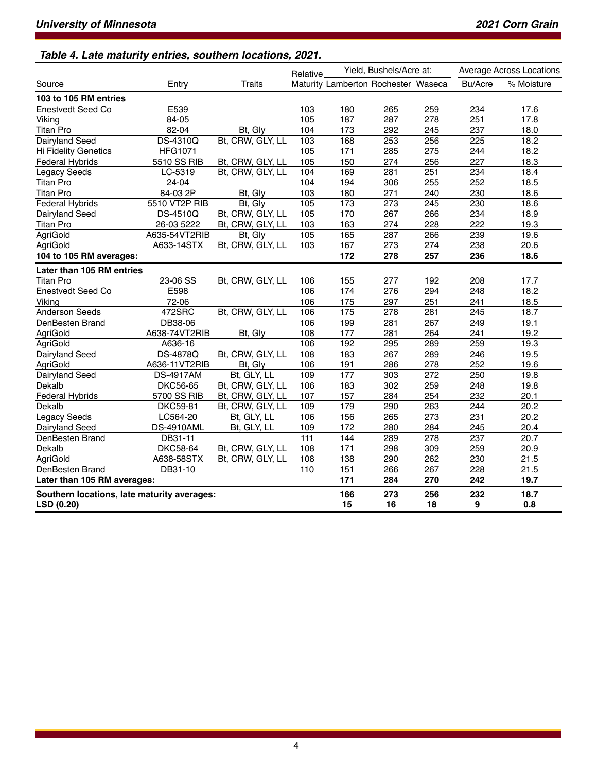# *Table 4. Late maturity entries, southern locations, 2021.*

|                                             |                   |                  | Relative. | Yield. Bushels/Acre at:             |     |                  | <b>Average Across Locations</b> |            |
|---------------------------------------------|-------------------|------------------|-----------|-------------------------------------|-----|------------------|---------------------------------|------------|
| Source                                      | Entry             | <b>Traits</b>    |           | Maturity Lamberton Rochester Waseca |     |                  | Bu/Acre                         | % Moisture |
| 103 to 105 RM entries                       |                   |                  |           |                                     |     |                  |                                 |            |
| <b>Enestvedt Seed Co</b>                    | E539              |                  | 103       | 180                                 | 265 | 259              | 234                             | 17.6       |
| Viking                                      | 84-05             |                  | 105       | 187                                 | 287 | 278              | 251                             | 17.8       |
| <b>Titan Pro</b>                            | 82-04             | Bt, Gly          | 104       | 173                                 | 292 | 245              | 237                             | 18.0       |
| Dairyland Seed                              | DS-4310Q          | Bt, CRW, GLY, LL | 103       | 168                                 | 253 | 256              | 225                             | 18.2       |
| Hi Fidelity Genetics                        | <b>HFG1071</b>    |                  | 105       | 171                                 | 285 | 275              | 244                             | 18.2       |
| <b>Federal Hybrids</b>                      | 5510 SS RIB       | Bt, CRW, GLY, LL | 105       | 150                                 | 274 | 256              | 227                             | 18.3       |
| Legacy Seeds                                | LC-5319           | Bt, CRW, GLY, LL | 104       | 169                                 | 281 | 251              | 234                             | 18.4       |
| <b>Titan Pro</b>                            | 24-04             |                  | 104       | 194                                 | 306 | 255              | 252                             | 18.5       |
| <b>Titan Pro</b>                            | 84-03 2P          | Bt, Gly          | 103       | 180                                 | 271 | 240              | 230                             | 18.6       |
| <b>Federal Hybrids</b>                      | 5510 VT2P RIB     | Bt, Gly          | 105       | $\frac{173}{x}$                     | 273 | 245              | 230                             | 18.6       |
| Dairyland Seed                              | DS-4510Q          | Bt, CRW, GLY, LL | 105       | 170                                 | 267 | 266              | 234                             | 18.9       |
| <b>Titan Pro</b>                            | 26-03 5222        | Bt, CRW, GLY, LL | 103       | 163                                 | 274 | 228              | 222                             | 19.3       |
| AgriGold                                    | A635-54VT2RIB     | Bt, Gly          | 105       | 165                                 | 287 | 266              | 239                             | 19.6       |
| AgriGold                                    | A633-14STX        | Bt, CRW, GLY, LL | 103       | 167                                 | 273 | 274              | 238                             | 20.6       |
| 104 to 105 RM averages:                     |                   |                  |           | 172                                 | 278 | 257              | 236                             | 18.6       |
| Later than 105 RM entries                   |                   |                  |           |                                     |     |                  |                                 |            |
| <b>Titan Pro</b>                            | 23-06 SS          | Bt, CRW, GLY, LL | 106       | 155                                 | 277 | 192              | 208                             | 17.7       |
| <b>Enestvedt Seed Co</b>                    | E598              |                  | 106       | 174                                 | 276 | 294              | 248                             | 18.2       |
| Viking                                      | 72-06             |                  | 106       | 175                                 | 297 | 251              | 241                             | 18.5       |
| <b>Anderson Seeds</b>                       | 472SRC            | Bt, CRW, GLY, LL | 106       | $\frac{175}{175}$                   | 278 | 281              | 245                             | 18.7       |
| DenBesten Brand                             | DB38-06           |                  | 106       | 199                                 | 281 | 267              | 249                             | 19.1       |
| AgriGold                                    | A638-74VT2RIB     | Bt, Gly          | 108       | 177                                 | 281 | 264              | 241                             | 19.2       |
| AgriGold                                    | A636-16           |                  | 106       | 192                                 | 295 | 289              | 259                             | 19.3       |
| Dairyland Seed                              | DS-4878Q          | Bt, CRW, GLY, LL | 108       | 183                                 | 267 | 289              | 246                             | 19.5       |
| AgriGold                                    | A636-11VT2RIB     | Bt, Gly          | 106       | 191                                 | 286 | 278              | 252                             | 19.6       |
| Dairyland Seed                              | <b>DS-4917AM</b>  | Bt, GLY, LL      | 109       | 177                                 | 303 | 272              | 250                             | 19.8       |
| Dekalb                                      | <b>DKC56-65</b>   | Bt, CRW, GLY, LL | 106       | 183                                 | 302 | 259              | 248                             | 19.8       |
| Federal Hybrids                             | 5700 SS RIB       | Bt, CRW, GLY, LL | 107       | 157                                 | 284 | 254              | 232                             | 20.1       |
| Dekalb                                      | <b>DKC59-81</b>   | Bt, CRW, GLY, LL | 109       | 179                                 | 290 | 263              | 244                             | 20.2       |
| Legacy Seeds                                | LC564-20          | Bt, GLY, LL      | 106       | 156                                 | 265 | 273              | 231                             | 20.2       |
| Dairyland Seed                              | <b>DS-4910AML</b> | Bt, GLY, LL      | 109       | 172                                 | 280 | 284              | 245                             | 20.4       |
| DenBesten Brand                             | DB31-11           |                  | 111       | 144                                 | 289 | $\overline{278}$ | 237                             | 20.7       |
| Dekalb                                      | <b>DKC58-64</b>   | Bt, CRW, GLY, LL | 108       | 171                                 | 298 | 309              | 259                             | 20.9       |
| AgriGold                                    | A638-58STX        | Bt, CRW, GLY, LL | 108       | 138                                 | 290 | 262              | 230                             | 21.5       |
| DenBesten Brand                             | DB31-10           |                  | 110       | 151                                 | 266 | 267              | 228                             | 21.5       |
| Later than 105 RM averages:                 |                   |                  |           | 171                                 | 284 | 270              | 242                             | 19.7       |
| Southern locations, late maturity averages: |                   |                  |           | 166                                 | 273 | 256              | 232                             | 18.7       |
| LSD (0.20)                                  |                   |                  |           | 15                                  | 16  | 18               | 9                               | 0.8        |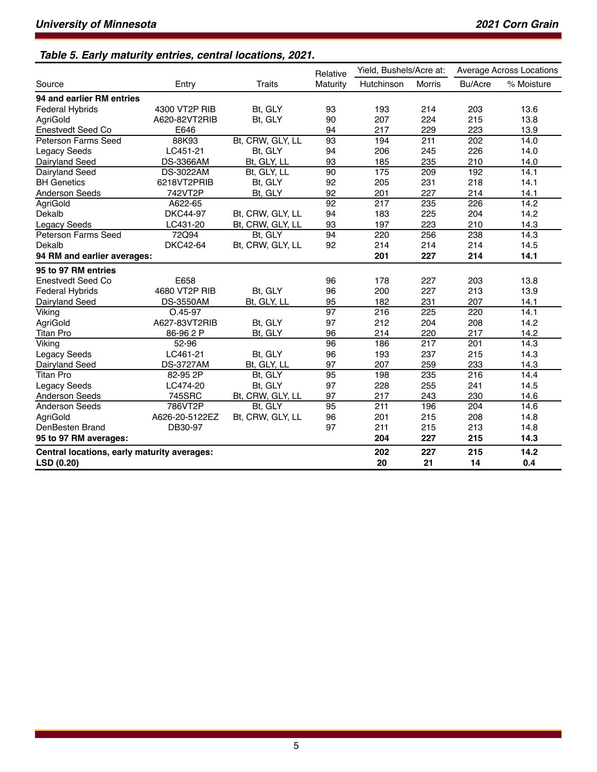# *Table 5. Early maturity entries, central locations, 2021.*

|                                             |                  |                  | Relative        | Yield, Bushels/Acre at: |               | Average Across Locations |            |
|---------------------------------------------|------------------|------------------|-----------------|-------------------------|---------------|--------------------------|------------|
| Source                                      | Entry            | <b>Traits</b>    | Maturity        | Hutchinson              | <b>Morris</b> | Bu/Acre                  | % Moisture |
| 94 and earlier RM entries                   |                  |                  |                 |                         |               |                          |            |
| <b>Federal Hybrids</b>                      | 4300 VT2P RIB    | Bt, GLY          | 93              | 193                     | 214           | 203                      | 13.6       |
| AgriGold                                    | A620-82VT2RIB    | Bt, GLY          | 90              | 207                     | 224           | 215                      | 13.8       |
| Enestvedt Seed Co                           | E646             |                  | 94              | 217                     | 229           | 223                      | 13.9       |
| Peterson Farms Seed                         | 88K93            | Bt, CRW, GLY, LL | 93              | 194                     | 211           | 202                      | 14.0       |
| <b>Legacy Seeds</b>                         | LC451-21         | Bt, GLY          | 94              | 206                     | 245           | 226                      | 14.0       |
| Dairyland Seed                              | <b>DS-3366AM</b> | Bt, GLY, LL      | 93              | 185                     | 235           | 210                      | 14.0       |
| Dairyland Seed                              | DS-3022AM        | Bt, GLY, LL      | 90              | 175                     | 209           | 192                      | 14.1       |
| <b>BH</b> Genetics                          | 6218VT2PRIB      | Bt, GLY          | 92              | 205                     | 231           | 218                      | 14.1       |
| <b>Anderson Seeds</b>                       | 742VT2P          | Bt, GLY          | 92              | 201                     | 227           | 214                      | 14.1       |
| AgriGold                                    | A622-65          |                  | 92              | 217                     | 235           | 226                      | 14.2       |
| Dekalb                                      | <b>DKC44-97</b>  | Bt, CRW, GLY, LL | 94              | 183                     | 225           | 204                      | 14.2       |
| <b>Legacy Seeds</b>                         | LC431-20         | Bt, CRW, GLY, LL | 93              | 197                     | 223           | 210                      | 14.3       |
| Peterson Farms Seed                         | 72Q94            | Bt, GLY          | 94              | 220                     | 256           | 238                      | 14.3       |
| Dekalb                                      | <b>DKC42-64</b>  | Bt, CRW, GLY, LL | 92              | 214                     | 214           | 214                      | 14.5       |
| 94 RM and earlier averages:                 |                  |                  |                 | 201                     | 227           | 214                      | 14.1       |
| 95 to 97 RM entries                         |                  |                  |                 |                         |               |                          |            |
| Enestvedt Seed Co                           | E658             |                  | 96              | 178                     | 227           | 203                      | 13.8       |
| <b>Federal Hybrids</b>                      | 4680 VT2P RIB    | Bt, GLY          | 96              | 200                     | 227           | 213                      | 13.9       |
| Dairyland Seed                              | <b>DS-3550AM</b> | Bt, GLY, LL      | 95              | 182                     | 231           | 207                      | 14.1       |
| Viking                                      | $O.45 - 97$      |                  | $\overline{97}$ | 216                     | 225           | 220                      | 14.1       |
| AgriGold                                    | A627-83VT2RIB    | Bt, GLY          | 97              | 212                     | 204           | 208                      | 14.2       |
| <b>Titan Pro</b>                            | 86-96 2 P        | Bt, GLY          | 96              | 214                     | 220           | 217                      | 14.2       |
| Viking                                      | 52-96            |                  | 96              | 186                     | 217           | 201                      | 14.3       |
| Legacy Seeds                                | LC461-21         | Bt, GLY          | 96              | 193                     | 237           | 215                      | 14.3       |
| Dairyland Seed                              | <b>DS-3727AM</b> | Bt, GLY, LL      | 97              | 207                     | 259           | 233                      | 14.3       |
| <b>Titan Pro</b>                            | 82-95 2P         | Bt, GLY          | 95              | 198                     | 235           | 216                      | 14.4       |
| <b>Legacy Seeds</b>                         | LC474-20         | Bt, GLY          | 97              | 228                     | 255           | 241                      | 14.5       |
| <b>Anderson Seeds</b>                       | 745SRC           | Bt, CRW, GLY, LL | 97              | 217                     | 243           | 230                      | 14.6       |
| <b>Anderson Seeds</b>                       | 786VT2P          | Bt, GLY          | 95              | 211                     | 196           | 204                      | 14.6       |
| AgriGold                                    | A626-20-5122EZ   | Bt, CRW, GLY, LL | 96              | 201                     | 215           | 208                      | 14.8       |
| DenBesten Brand                             | DB30-97          |                  | 97              | 211                     | 215           | 213                      | 14.8       |
| 95 to 97 RM averages:                       |                  |                  |                 | 204                     | 227           | 215                      | 14.3       |
| Central locations, early maturity averages: |                  |                  |                 |                         | 227           | 215                      | 14.2       |
| LSD (0.20)                                  | 20               | 21               | 14              | 0.4                     |               |                          |            |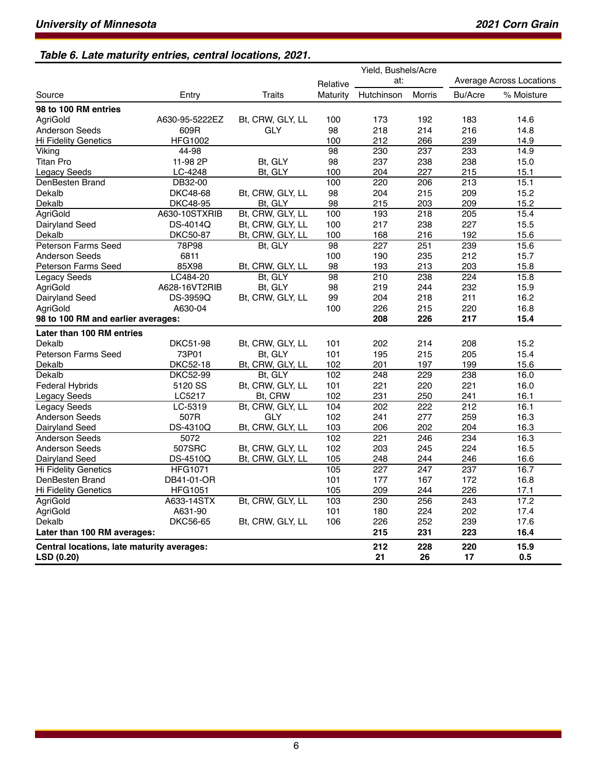## *Table 6. Late maturity entries, central locations, 2021.*

|                                                   |                 |                  | Yield, Bushels/Acre |                  |                  |                                 |            |  |
|---------------------------------------------------|-----------------|------------------|---------------------|------------------|------------------|---------------------------------|------------|--|
|                                                   |                 |                  | Relative            | at:              |                  | <b>Average Across Locations</b> |            |  |
| Source                                            | Entry           | <b>Traits</b>    | Maturity            | Hutchinson       | <b>Morris</b>    | Bu/Acre                         | % Moisture |  |
| 98 to 100 RM entries                              |                 |                  |                     |                  |                  |                                 |            |  |
| AgriGold                                          | A630-95-5222EZ  | Bt, CRW, GLY, LL | 100                 | 173              | 192              | 183                             | 14.6       |  |
| <b>Anderson Seeds</b>                             | 609R            | <b>GLY</b>       | 98                  | 218              | 214              | 216                             | 14.8       |  |
| Hi Fidelity Genetics                              | <b>HFG1002</b>  |                  | 100                 | 212              | 266              | 239                             | 14.9       |  |
| Viking                                            | 44-98           |                  | $\overline{98}$     | 230              | 237              | 233                             | 14.9       |  |
| <b>Titan Pro</b>                                  | 11-98 2P        | Bt, GLY          | 98                  | 237              | 238              | 238                             | 15.0       |  |
| <b>Legacy Seeds</b>                               | LC-4248         | Bt, GLY          | 100                 | 204              | 227              | 215                             | 15.1       |  |
| DenBesten Brand                                   | DB32-00         |                  | 100                 | 220              | 206              | $\overline{213}$                | 15.1       |  |
| Dekalb                                            | <b>DKC48-68</b> | Bt, CRW, GLY, LL | 98                  | 204              | 215              | 209                             | 15.2       |  |
| Dekalb                                            | <b>DKC48-95</b> | Bt. GLY          | 98                  | 215              | 203              | 209                             | 15.2       |  |
| AgriGold                                          | A630-10STXRIB   | Bt, CRW, GLY, LL | 100                 | 193              | 218              | 205                             | 15.4       |  |
| Dairyland Seed                                    | DS-4014Q        | Bt, CRW, GLY, LL | 100                 | 217              | 238              | 227                             | 15.5       |  |
| Dekalb                                            | <b>DKC50-87</b> | Bt, CRW, GLY, LL | 100                 | 168              | 216              | 192                             | 15.6       |  |
| Peterson Farms Seed                               | 78P98           | Bt, GLY          | 98                  | 227              | 251              | 239                             | 15.6       |  |
| <b>Anderson Seeds</b>                             | 6811            |                  | 100                 | 190              | 235              | 212                             | 15.7       |  |
| Peterson Farms Seed                               | 85X98           | Bt, CRW, GLY, LL | 98                  | 193              | 213              | 203                             | 15.8       |  |
| <b>Legacy Seeds</b>                               | LC484-20        | Bt. GLY          | 98                  | 210              | 238              | 224                             | 15.8       |  |
| AgriGold                                          | A628-16VT2RIB   | Bt, GLY          | 98                  | 219              | 244              | 232                             | 15.9       |  |
| Dairyland Seed                                    | DS-3959Q        | Bt, CRW, GLY, LL | 99                  | 204              | 218              | 211                             | 16.2       |  |
| AgriGold                                          | A630-04         |                  | 100                 | 226              | 215              | 220                             | 16.8       |  |
| 98 to 100 RM and earlier averages:                |                 |                  |                     | 208              | 226              | 217                             | 15.4       |  |
| Later than 100 RM entries                         |                 |                  |                     |                  |                  |                                 |            |  |
| Dekalb                                            | <b>DKC51-98</b> | Bt, CRW, GLY, LL | 101                 | 202              | 214              | 208                             | 15.2       |  |
| <b>Peterson Farms Seed</b>                        | 73P01           | Bt, GLY          | 101                 | 195              | 215              | 205                             | 15.4       |  |
| Dekalb                                            | <b>DKC52-18</b> | Bt, CRW, GLY, LL | 102                 | 201              | 197              | 199                             | 15.6       |  |
| Dekalb                                            | DKC52-99        | Bt. GLY          | 102                 | 248              | 229              | 238                             | 16.0       |  |
| <b>Federal Hybrids</b>                            | 5120 SS         | Bt, CRW, GLY, LL | 101                 | 221              | 220              | 221                             | 16.0       |  |
| <b>Legacy Seeds</b>                               | LC5217          | Bt. CRW          | 102                 | 231              | 250              | 241                             | 16.1       |  |
| Legacy Seeds                                      | LC-5319         | Bt, CRW, GLY, LL | 104                 | $\overline{202}$ | $\overline{222}$ | 212                             | 16.1       |  |
| <b>Anderson Seeds</b>                             | 507R            | <b>GLY</b>       | 102                 | 241              | 277              | 259                             | 16.3       |  |
| Dairyland Seed                                    | <b>DS-4310Q</b> | Bt, CRW, GLY, LL | 103                 | 206              | 202              | 204                             | 16.3       |  |
| <b>Anderson Seeds</b>                             | 5072            |                  | 102                 | 221              | 246              | 234                             | 16.3       |  |
| <b>Anderson Seeds</b>                             | 507SRC          | Bt, CRW, GLY, LL | 102                 | 203              | 245              | 224                             | 16.5       |  |
| Dairyland Seed                                    | DS-4510Q        | Bt, CRW, GLY, LL | 105                 | 248              | 244              | 246                             | 16.6       |  |
| Hi Fidelity Genetics                              | <b>HFG1071</b>  |                  | 105                 | 227              | 247              | 237                             | 16.7       |  |
| DenBesten Brand                                   | DB41-01-OR      |                  | 101                 | 177              | 167              | 172                             | 16.8       |  |
| <b>Hi Fidelity Genetics</b>                       | <b>HFG1051</b>  |                  | 105                 | 209              | 244              | 226                             | 17.1       |  |
| AgriGold                                          | A633-14STX      | Bt, CRW, GLY, LL | 103                 | 230              | 256              | 243                             | 17.2       |  |
| AgriGold                                          | A631-90         |                  | 101                 | 180              | 224              | 202                             | 17.4       |  |
| Dekalb                                            | <b>DKC56-65</b> | Bt, CRW, GLY, LL | 106                 | 226              | 252              | 239                             | 17.6       |  |
| Later than 100 RM averages:                       |                 |                  |                     | 215              | 231              | 223                             | 16.4       |  |
| 212<br>Central locations, late maturity averages: |                 |                  |                     |                  | 228              | 220                             | 15.9       |  |
| LSD (0.20)                                        |                 |                  |                     | 21               | 26               | 17                              | 0.5        |  |